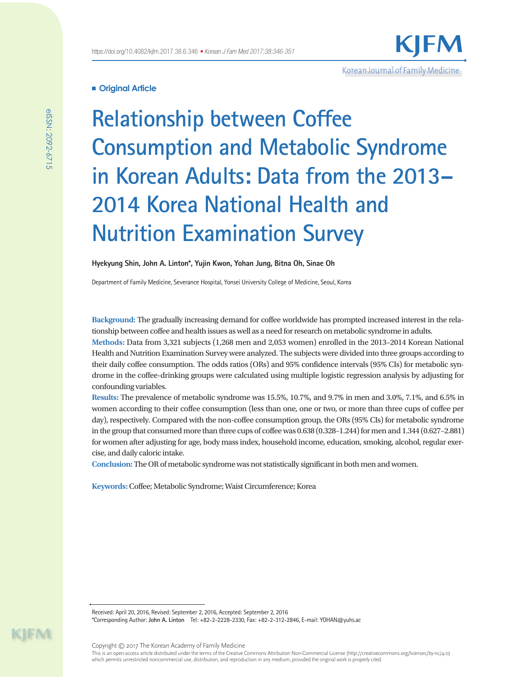# **Original Article**

**Relationship between Coffee Consumption and Metabolic Syndrome in Korean Adults: Data from the 2013– 2014 Korea National Health and Nutrition Examination Survey**

Korean Journal of Family Medicine

**Hyekyung Shin, John A. Linton\*, Yujin Kwon, Yohan Jung, Bitna Oh, Sinae Oh**

Department of Family Medicine, Severance Hospital, Yonsei University College of Medicine, Seoul, Korea

**Background:** The gradually increasing demand for coffee worldwide has prompted increased interest in the relationship between coffee and health issues as well as a need for research on metabolic syndrome in adults.

**Methods:** Data from 3,321 subjects (1,268 men and 2,053 women) enrolled in the 2013–2014 Korean National Health and Nutrition Examination Survey were analyzed. The subjects were divided into three groups according to their daily coffee consumption. The odds ratios (ORs) and 95% confidence intervals (95% CIs) for metabolic syndrome in the coffee-drinking groups were calculated using multiple logistic regression analysis by adjusting for confounding variables.

**Results:** The prevalence of metabolic syndrome was 15.5%, 10.7%, and 9.7% in men and 3.0%, 7.1%, and 6.5% in women according to their coffee consumption (less than one, one or two, or more than three cups of coffee per day), respectively. Compared with the non-coffee consumption group, the ORs (95% CIs) for metabolic syndrome in the group that consumed more than three cups of coffee was 0.638 (0.328–1.244) for men and 1.344 (0.627–2.881) for women after adjusting for age, body mass index, household income, education, smoking, alcohol, regular exercise, and daily caloric intake.

**Conclusion:** The OR of metabolic syndrome was not statistically significant in both men and women.

**Keywords:** Coffee; Metabolic Syndrome; Waist Circumference; Korea

Received: April 20, 2016, Revised: September 2, 2016, Accepted: September 2, 2016

\*Corresponding Author: **John A. Linton** Tel: +82-2-2228-2330, Fax: +82-2-312-2846, E-mail: YOHAN@yuhs.ac

Copyright © 2017 The Korean Academy of Family Medicine

This is an open-access article distributed under the terms of the Creative Commons Attribution Non-Commercial License (http://creativecommons.org/licenses/by-nc/4.0) which permits unrestricted noncommercial use, distribution, and reproduction in any medium, provided the original work is properly cited.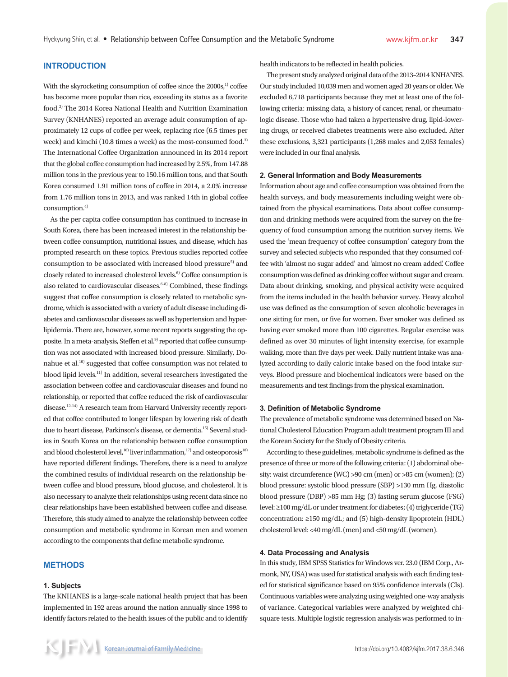# **INTRODUCTION**

With the skyrocketing consumption of coffee since the 2000s,<sup>1)</sup> coffee has become more popular than rice, exceeding its status as a favorite food.2) The 2014 Korea National Health and Nutrition Examination Survey (KNHANES) reported an average adult consumption of approximately 12 cups of coffee per week, replacing rice (6.5 times per week) and kimchi (10.8 times a week) as the most-consumed food.<sup>3)</sup> The International Coffee Organization announced in its 2014 report that the global coffee consumption had increased by 2.5%, from 147.88 million tons in the previous year to 150.16 million tons, and that South Korea consumed 1.91 million tons of coffee in 2014, a 2.0% increase from 1.76 million tons in 2013, and was ranked 14th in global coffee consumption.4)

As the per capita coffee consumption has continued to increase in South Korea, there has been increased interest in the relationship between coffee consumption, nutritional issues, and disease, which has prompted research on these topics. Previous studies reported coffee consumption to be associated with increased blood pressure<sup>5)</sup> and closely related to increased cholesterol levels.<sup>6)</sup> Coffee consumption is also related to cardiovascular diseases.<sup>6-8)</sup> Combined, these findings suggest that coffee consumption is closely related to metabolic syndrome, which is associated with a variety of adult disease including diabetes and cardiovascular diseases as well as hypertension and hyperlipidemia. There are, however, some recent reports suggesting the opposite. In a meta-analysis, Steffen et al.<sup>9)</sup> reported that coffee consumption was not associated with increased blood pressure. Similarly, Donahue et al.10) suggested that coffee consumption was not related to blood lipid levels.11) In addition, several researchers investigated the association between coffee and cardiovascular diseases and found no relationship, or reported that coffee reduced the risk of cardiovascular disease.12-14) A research team from Harvard University recently reported that coffee contributed to longer lifespan by lowering risk of death due to heart disease, Parkinson's disease, or dementia.15) Several studies in South Korea on the relationship between coffee consumption and blood cholesterol level,<sup>16)</sup> liver inflammation,<sup>17)</sup> and osteoporosis<sup>18)</sup> have reported different findings. Therefore, there is a need to analyze the combined results of individual research on the relationship between coffee and blood pressure, blood glucose, and cholesterol. It is also necessary to analyze their relationships using recent data since no clear relationships have been established between coffee and disease. Therefore, this study aimed to analyze the relationship between coffee consumption and metabolic syndrome in Korean men and women according to the components that define metabolic syndrome.

#### **METHODS**

#### **1. Subjects**

The KNHANES is a large-scale national health project that has been implemented in 192 areas around the nation annually since 1998 to identify factors related to the health issues of the public and to identify

The present study analyzed original data of the 2013–2014 KNHANES. Our study included 10,039 men and women aged 20 years or older. We excluded 6,718 participants because they met at least one of the following criteria: missing data, a history of cancer, renal, or rheumatologic disease. Those who had taken a hypertensive drug, lipid-lowering drugs, or received diabetes treatments were also excluded. After these exclusions, 3,321 participants (1,268 males and 2,053 females) were included in our final analysis.

#### **2. General Information and Body Measurements**

Information about age and coffee consumption was obtained from the health surveys, and body measurements including weight were obtained from the physical examinations. Data about coffee consumption and drinking methods were acquired from the survey on the frequency of food consumption among the nutrition survey items. We used the 'mean frequency of coffee consumption' category from the survey and selected subjects who responded that they consumed coffee with 'almost no sugar added' and 'almost no cream added'. Coffee consumption was defined as drinking coffee without sugar and cream. Data about drinking, smoking, and physical activity were acquired from the items included in the health behavior survey. Heavy alcohol use was defined as the consumption of seven alcoholic beverages in one sitting for men, or five for women. Ever smoker was defined as having ever smoked more than 100 cigarettes. Regular exercise was defined as over 30 minutes of light intensity exercise, for example walking, more than five days per week. Daily nutrient intake was analyzed according to daily caloric intake based on the food intake surveys. Blood pressure and biochemical indicators were based on the measurements and test findings from the physical examination.

### **3. Definition of Metabolic Syndrome**

The prevalence of metabolic syndrome was determined based on National Cholesterol Education Program adult treatment program III and the Korean Society for the Study of Obesity criteria.

According to these guidelines, metabolic syndrome is defined as the presence of three or more of the following criteria: (1) abdominal obesity: waist circumference (WC) >90 cm (men) or >85 cm (women); (2) blood pressure: systolic blood pressure (SBP) >130 mm Hg, diastolic blood pressure (DBP) >85 mm Hg; (3) fasting serum glucose (FSG) level: ≥100 mg/dL or under treatment for diabetes; (4) triglyceride (TG) concentration: ≥150 mg/dL; and (5) high-density lipoprotein (HDL) cholesterol level: <40 mg/dL (men) and <50 mg/dL (women).

### **4. Data Processing and Analysis**

In this study, IBM SPSS Statistics for Windows ver. 23.0 (IBM Corp., Armonk, NY, USA) was used for statistical analysis with each finding tested for statistical significance based on 95% confidence intervals (CIs). Continuous variables were analyzing using weighted one-way analysis of variance. Categorical variables were analyzed by weighted chisquare tests. Multiple logistic regression analysis was performed to in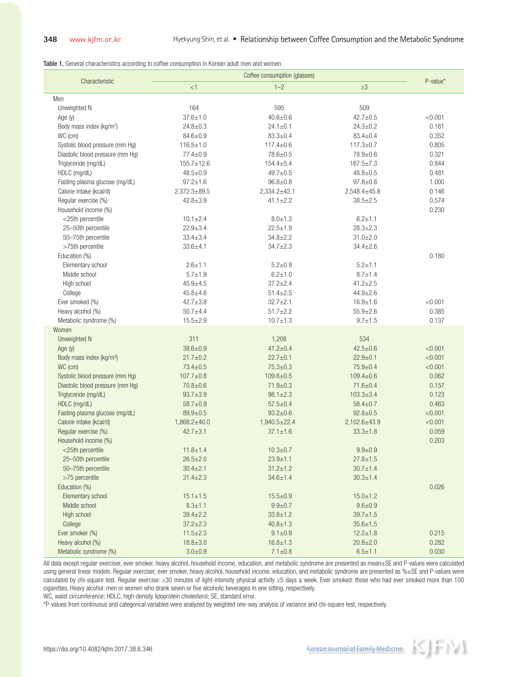Table 1. General characteristics according to coffee consumption in Korean adult men and women

| Characteristic                       |                    |                    |                    |          |
|--------------------------------------|--------------------|--------------------|--------------------|----------|
|                                      | $<$ 1              | $1 - 2$            | $\geq$ 3           | P-value* |
| Men                                  |                    |                    |                    |          |
| Unweighted N                         | 164                | 595                | 509                |          |
| Age (y)                              | $37.6 \pm 1.0$     | $40.6 \pm 0.6$     | $42.7 \pm 0.5$     | < 0.001  |
| Body mass index (kg/m <sup>2</sup> ) | $24.8 \pm 0.3$     | $24.1 \pm 0.1$     | $24.3 \pm 0.2$     | 0.161    |
| WC (cm)                              | $84.6 \pm 0.9$     | $83.3 \pm 0.4$     | $83.4 \pm 0.4$     | 0.352    |
| Systolic blood pressure (mm Hg)      | $116.5 \pm 1.0$    | $117.4 \pm 0.6$    | $117.3 \pm 0.7$    | 0.805    |
| Diastolic blood pressure (mm Hg)     | $77.4 \pm 0.9$     | $78.6 \pm 0.5$     | $78.9 + 0.6$       | 0.321    |
| Triglyceride (mg/dL)                 | $155.7 \pm 12.6$   | $154.4 \pm 5.4$    | $167.5 \pm 7.3$    | 0.844    |
| HDLC (mg/dL)                         | $48.5 \pm 0.9$     | $49.7 \pm 0.5$     | $48.8 \pm 0.5$     | 0.481    |
| Fasting plasma glucose (mg/dL)       | $97.2 \pm 1.6$     | $96.8 \pm 0.8$     | $97.8 + 0.8$       | 1.000    |
| Calorie intake (kcal/d)              | $2,372.3 \pm 89.5$ | $2,334.2 \pm 42.1$ | $2,548.4 \pm 45.8$ | 0.146    |
| Regular exercise (%)                 | $42.8 \pm 3.9$     | $41.1 \pm 2.2$     | $38.5 \pm 2.5$     | 0.574    |
| Household income (%)                 |                    |                    |                    | 0.230    |
| <25th percentile                     | $10.1 \pm 2.4$     | $8.0 \pm 1.3$      | $6.2 \pm 1.1$      |          |
| 25-50th percentile                   | $22.9 \pm 3.4$     | $22.5 \pm 1.9$     | $28.3 \pm 2.3$     |          |
| 50-75th percentile                   | $33.4 \pm 3.4$     | $34.8 \pm 2.2$     | $31.0 \pm 2.0$     |          |
| >75th percentile                     | $33.6 + 4.1$       | $34.7 + 2.3$       | $34.4 \pm 2.6$     |          |
| Education (%)                        |                    |                    |                    | 0.180    |
| Elementary school                    | $2.6 + 1.1$        | $5.2 \pm 0.9$      | $5.2 + 1.1$        |          |
| Middle school                        | $5.7 + 1.9$        | $6.2 + 1.0$        | $8.7 \pm 1.4$      |          |
| High school                          | $45.9 + 4.5$       | $37.2 \pm 2.4$     | $41.2 \pm 2.5$     |          |
| College                              | $45.8 \pm 4.6$     | $51.4 \pm 2.5$     | $44.9 \pm 2.6$     |          |
| Ever smoked (%)                      | $42.7 \pm 3.8$     | $32.7 + 2.1$       | $16.9 + 1.6$       | < 0.001  |
| Heavy alcohol (%)                    | $50.7 + 4.4$       | $51.7 \pm 2.2$     | $55.9 \pm 2.6$     | 0.385    |
| Metabolic syndrome (%)               | $15.5 \pm 2.9$     | $10.7 + 1.3$       | $9.7 + 1.5$        | 0.137    |
| Women                                |                    |                    |                    |          |
| Unweighted N                         | 311                | 1,208              | 534                |          |
| Age (y)                              | $38.6 \pm 0.9$     | $41.2 \pm 0.4$     | $42.5 \pm 0.6$     | < 0.001  |
| Body mass index (kg/m <sup>2</sup> ) | $21.7 \pm 0.2$     | $22.7 \pm 0.1$     | $22.9 \pm 0.1$     | < 0.001  |
| WC (cm)                              | $73.4 \pm 0.5$     | $75.3 \pm 0.3$     | $75.9 \pm 0.4$     | < 0.001  |
| Systolic blood pressure (mm Hg)      | $107.7 \pm 0.8$    | $109.6 \pm 0.5$    | $109.4 \pm 0.6$    | 0.062    |
| Diastolic blood pressure (mm Hg)     | $70.8 \pm 0.6$     | $71.9 \pm 0.3$     | $71.6 \pm 0.4$     | 0.157    |
| Triglyceride (mg/dL)                 | $93.7 \pm 3.9$     | $98.1 \pm 2.3$     | $103.3 \pm 3.4$    | 0.123    |
| HDLC (mg/dL)                         | $58.7 \pm 0.9$     | $57.5 \pm 0.4$     | $58.4 \pm 0.7$     | 0.463    |
| Fasting plasma glucose (mg/dL)       | $89.9 \pm 0.5$     | $93.2 \pm 0.6$     | $92.8 \pm 0.5$     | < 0.001  |
| Calorie intake (kcal/d)              | $1,868.2{\pm}40.0$ | $1,940.5 \pm 22.4$ | $2,102.6 \pm 43.9$ | < 0.001  |
| Regular exercise (%)                 | $42.7 \pm 3.1$     | $37.1 \pm 1.6$     | $33.3 \pm 1.8$     | 0.059    |
| Household income (%)                 |                    |                    |                    | 0.203    |
| <25th percentile                     | $11.8 \pm 1.4$     | $10.3 \pm 0.7$     | $9.9 + 0.9$        |          |
| 25-50th percentile                   | $26.5 \pm 2.0$     | $23.9 \pm 1.1$     | $27.8 \pm 1.5$     |          |
| 50-75th percentile                   | $30.4 \pm 2.1$     | $31.2 \pm 1.2$     | $30.7 \pm 1.4$     |          |
| >75 percentile                       | $31.4 \pm 2.3$     | $34.6 \pm 1.4$     | $30.3 \pm 1.4$     |          |
| Education (%)                        |                    |                    |                    | 0.026    |
| Elementary school                    | $15.1 \pm 1.5$     | $15.5 \pm 0.9$     | $15.0 \pm 1.2$     |          |
| Middle school                        | $8.3 \pm 1.1$      | $9.9 + 0.7$        | $9.6 + 0.9$        |          |
| High school                          | $39.4 \pm 2.2$     | $33.8 \pm 1.2$     | $39.7 \pm 1.5$     |          |
| College                              | $37.2 \pm 2.3$     | $40.8 \pm 1.3$     | $35.6 \pm 1.5$     |          |
| Ever smoker (%)                      | $11.5 \pm 2.3$     | $9.1 \pm 0.9$      | $12.2 \pm 1.8$     | 0.215    |
| Heavy alcohol (%)                    | $18.8 \pm 3.0$     | $16.8 \pm 1.3$     | $20.8 \pm 2.0$     | 0.282    |
| Metabolic syndrome (%)               | $3.0 + 0.9$        | $7.1 \pm 0.8$      | $6.5 + 1.1$        | 0.030    |
|                                      |                    |                    |                    |          |

All data except regular exerciser, ever smoker, heavy alcohol, household income, education, and metabolic syndrome are presented as mean±SE and P-values were calculated using general linear models. Regular exerciser, ever smoker, heavy alcohol, household income, education, and metabolic syndrome are presented as %±SE and P-values were calculated by chi-square test. Regular exercise: ≥30 minutes of light-intensity physical activity ≥5 days a week. Ever smoked: those who had ever smoked more than 100 cigarettes. Heavy alcohol: men or women who drank seven or five alcoholic beverages in one sitting, respectively.

WC, waist circumference; HDLC, high-density lipoprotein cholesterol; SE, standard error.

\*P-values from continuous and categorical variables were analyzed by weighted one-way analysis of variance and chi-square test, respectively.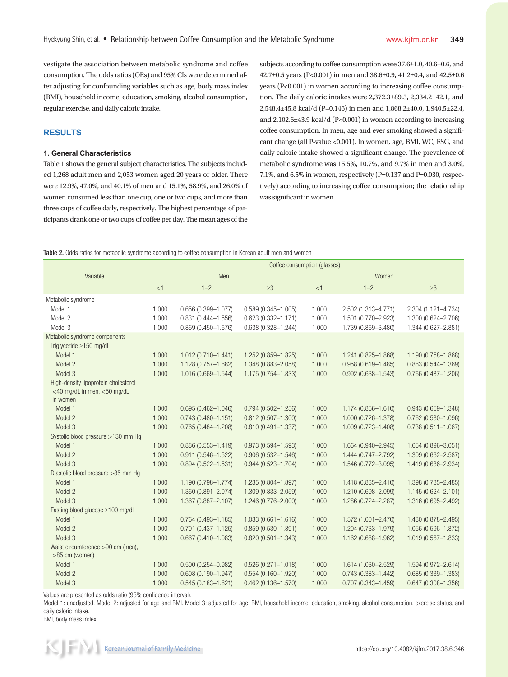vestigate the association between metabolic syndrome and coffee consumption. The odds ratios (ORs) and 95% CIs were determined after adjusting for confounding variables such as age, body mass index (BMI), household income, education, smoking, alcohol consumption, regular exercise, and daily caloric intake.

### **RESULTS**

### **1. General Characteristics**

Table 1 shows the general subject characteristics. The subjects included 1,268 adult men and 2,053 women aged 20 years or older. There were 12.9%, 47.0%, and 40.1% of men and 15.1%, 58.9%, and 26.0% of women consumed less than one cup, one or two cups, and more than three cups of coffee daily, respectively. The highest percentage of participants drank one or two cups of coffee per day. The mean ages of the subjects according to coffee consumption were 37.6±1.0, 40.6±0.6, and 42.7±0.5 years (P<0.001) in men and 38.6±0.9, 41.2±0.4, and 42.5±0.6 years (P<0.001) in women according to increasing coffee consumption. The daily caloric intakes were 2,372.3±89.5, 2,334.2±42.1, and 2,548.4±45.8 kcal/d (P=0.146) in men and 1,868.2±40.0, 1,940.5±22.4, and 2,102.6±43.9 kcal/d (P<0.001) in women according to increasing coffee consumption. In men, age and ever smoking showed a significant change (all P-value <0.001). In women, age, BMI, WC, FSG, and daily calorie intake showed a significant change. The prevalence of metabolic syndrome was 15.5%, 10.7%, and 9.7% in men and 3.0%, 7.1%, and 6.5% in women, respectively (P=0.137 and P=0.030, respectively) according to increasing coffee consumption; the relationship was significant in women.

#### Table 2. Odds ratios for metabolic syndrome according to coffee consumption in Korean adult men and women

|                                         |       | Coffee consumption (glasses) |                        |       |                        |                        |  |  |
|-----------------------------------------|-------|------------------------------|------------------------|-------|------------------------|------------------------|--|--|
| Variable                                |       | Men                          |                        |       | Women                  |                        |  |  |
|                                         | <1    | $1 - 2$                      | $\geq$ 3               | <1    | $1 - 2$                | $\geq 3$               |  |  |
| Metabolic syndrome                      |       |                              |                        |       |                        |                        |  |  |
| Model 1                                 | 1.000 | $0.656(0.399 - 1.077)$       | $0.589(0.345 - 1.005)$ | 1.000 | 2.502 (1.313-4.771)    | 2.304 (1.121-4.734)    |  |  |
| Model 2                                 | 1.000 | $0.831(0.444 - 1.556)$       | $0.623(0.332 - 1.171)$ | 1.000 | 1.501 (0.770-2.923)    | 1.300 (0.624-2.706)    |  |  |
| Model 3                                 | 1.000 | $0.869(0.450 - 1.676)$       | $0.638(0.328 - 1.244)$ | 1.000 | 1.739 (0.869-3.480)    | 1.344 (0.627-2.881)    |  |  |
| Metabolic syndrome components           |       |                              |                        |       |                        |                        |  |  |
| Triglyceride $\geq$ 150 mg/dL           |       |                              |                        |       |                        |                        |  |  |
| Model 1                                 | 1.000 | 1.012 (0.710-1.441)          | 1.252 (0.859-1.825)    | 1.000 | 1.241 (0.825-1.868)    | 1.190 (0.758-1.868)    |  |  |
| Model 2                                 | 1.000 | 1.128 (0.757-1.682)          | 1.348 (0.883-2.058)    | 1.000 | $0.958(0.619 - 1.485)$ | $0.863(0.544 - 1.369)$ |  |  |
| Model 3                                 | 1.000 | 1.016 (0.669-1.544)          | 1.175 (0.754-1.833)    | 1.000 | $0.992(0.638 - 1.543)$ | $0.766(0.487 - 1.206)$ |  |  |
| High-density lipoprotein cholesterol    |       |                              |                        |       |                        |                        |  |  |
| <40 mg/dL in men, <50 mg/dL<br>in women |       |                              |                        |       |                        |                        |  |  |
| Model 1                                 | 1.000 | $0.695(0.462 - 1.046)$       | $0.794(0.502 - 1.256)$ | 1.000 | 1.174 (0.856-1.610)    | $0.943(0.659 - 1.348)$ |  |  |
| Model 2                                 | 1.000 | $0.743(0.480 - 1.151)$       | $0.812(0.507 - 1.300)$ | 1.000 | 1.000 (0.726-1.378)    | $0.762(0.530 - 1.096)$ |  |  |
| Model 3                                 | 1.000 | $0.765(0.484 - 1.208)$       | $0.810(0.491 - 1.337)$ | 1.000 | 1.009 (0.723-1.408)    | $0.738(0.511 - 1.067)$ |  |  |
| Systolic blood pressure >130 mm Hg      |       |                              |                        |       |                        |                        |  |  |
| Model 1                                 | 1.000 | $0.886(0.553 - 1.419)$       | $0.973(0.594 - 1.593)$ | 1.000 | 1.664 (0.940-2.945)    | 1.654 (0.896-3.051)    |  |  |
| Model 2                                 | 1.000 | $0.911(0.546 - 1.522)$       | $0.906(0.532 - 1.546)$ | 1.000 | 1.444 (0.747-2.792)    | 1.309 (0.662-2.587)    |  |  |
| Model 3                                 | 1.000 | $0.894(0.522 - 1.531)$       | $0.944(0.523 - 1.704)$ | 1.000 | 1.546 (0.772-3.095)    | 1.419 (0.686-2.934)    |  |  |
| Diastolic blood pressure >85 mm Hg      |       |                              |                        |       |                        |                        |  |  |
| Model 1                                 | 1.000 | 1.190 (0.798-1.774)          | 1.235 (0.804-1.897)    | 1.000 | 1.418 (0.835-2.410)    | 1.398 (0.785-2.485)    |  |  |
| Model 2                                 | 1.000 | 1.360 (0.891-2.074)          | 1.309 (0.833-2.059)    | 1.000 | 1.210 (0.698-2.099)    | 1.145 (0.624-2.101)    |  |  |
| Model 3                                 | 1.000 | 1.367 (0.887-2.107)          | 1.246 (0.776-2.000)    | 1.000 | 1.286 (0.724-2.287)    | 1.316 (0.695-2.492)    |  |  |
| Fasting blood glucose $\geq 100$ mg/dL  |       |                              |                        |       |                        |                        |  |  |
| Model 1                                 | 1.000 | $0.764(0.493 - 1.185)$       | $1.033(0.661 - 1.616)$ | 1.000 | 1.572 (1.001-2.470)    | 1.480 (0.878-2.495)    |  |  |
| Model 2                                 | 1.000 | $0.701(0.437 - 1.125)$       | $0.859(0.530 - 1.391)$ | 1.000 | 1.204 (0.733-1.979)    | 1.056 (0.596-1.872)    |  |  |
| Model 3                                 | 1.000 | $0.667(0.410 - 1.083)$       | $0.820(0.501 - 1.343)$ | 1.000 | 1.162 (0.688-1.962)    | 1.019 (0.567-1.833)    |  |  |
| Waist circumference >90 cm (men),       |       |                              |                        |       |                        |                        |  |  |
| >85 cm (women)                          |       |                              |                        |       |                        |                        |  |  |
| Model 1                                 | 1.000 | $0.500(0.254 - 0.982)$       | $0.526(0.271 - 1.018)$ | 1.000 | 1.614 (1.030-2.529)    | $1.594(0.972 - 2.614)$ |  |  |
| Model 2                                 | 1.000 | $0.608(0.190 - 1.947)$       | $0.554(0.160 - 1.920)$ | 1.000 | $0.743(0.383 - 1.442)$ | $0.685(0.339 - 1.383)$ |  |  |
| Model 3                                 | 1.000 | $0.545(0.183 - 1.621)$       | $0.462(0.136 - 1.570)$ | 1.000 | $0.707(0.343 - 1.459)$ | $0.647(0.308 - 1.356)$ |  |  |

Values are presented as odds ratio (95% confidence interval).

Model 1: unadjusted. Model 2: adjusted for age and BMI. Model 3: adjusted for age, BMI, household income, education, smoking, alcohol consumption, exercise status, and daily caloric intake.

BMI, body mass index.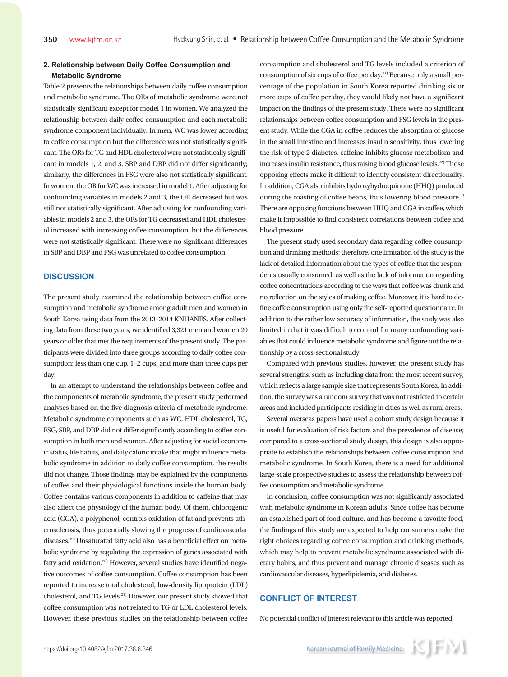# **2. Relationship between Daily Coffee Consumption and Metabolic Syndrome**

Table 2 presents the relationships between daily coffee consumption and metabolic syndrome. The ORs of metabolic syndrome were not statistically significant except for model 1 in women. We analyzed the relationship between daily coffee consumption and each metabolic syndrome component individually. In men, WC was lower according to coffee consumption but the difference was not statistically significant. The ORs for TG and HDL cholesterol were not statistically significant in models 1, 2, and 3. SBP and DBP did not differ significantly; similarly, the differences in FSG were also not statistically significant. In women, the OR for WC was increased in model 1. After adjusting for confounding variables in models 2 and 3, the OR decreased but was still not statistically significant. After adjusting for confounding variables in models 2 and 3, the ORs for TG decreased and HDL cholesterol increased with increasing coffee consumption, but the differences were not statistically significant. There were no significant differences in SBP and DBP and FSG was unrelated to coffee consumption.

## **DISCUSSION**

The present study examined the relationship between coffee consumption and metabolic syndrome among adult men and women in South Korea using data from the 2013–2014 KNHANES. After collecting data from these two years, we identified 3,321 men and women 20 years or older that met the requirements of the present study. The participants were divided into three groups according to daily coffee consumption; less than one cup, 1–2 cups, and more than three cups per day.

In an attempt to understand the relationships between coffee and the components of metabolic syndrome, the present study performed analyses based on the five diagnosis criteria of metabolic syndrome. Metabolic syndrome components such as WC, HDL cholesterol, TG, FSG, SBP, and DBP did not differ significantly according to coffee consumption in both men and women. After adjusting for social economic status, life habits, and daily caloric intake that might influence metabolic syndrome in addition to daily coffee consumption, the results did not change. Those findings may be explained by the components of coffee and their physiological functions inside the human body. Coffee contains various components in addition to caffeine that may also affect the physiology of the human body. Of them, chlorogenic acid (CGA), a polyphenol, controls oxidation of fat and prevents atherosclerosis, thus potentially slowing the progress of cardiovascular diseases.<sup>19)</sup> Unsaturated fatty acid also has a beneficial effect on metabolic syndrome by regulating the expression of genes associated with fatty acid oxidation.<sup>20)</sup> However, several studies have identified negative outcomes of coffee consumption. Coffee consumption has been reported to increase total cholesterol, low-density lipoprotein (LDL) cholesterol, and TG levels.21) However, our present study showed that coffee consumption was not related to TG or LDL cholesterol levels. However, these previous studies on the relationship between coffee

consumption and cholesterol and TG levels included a criterion of consumption of six cups of coffee per day.21) Because only a small percentage of the population in South Korea reported drinking six or more cups of coffee per day, they would likely not have a significant impact on the findings of the present study. There were no significant relationships between coffee consumption and FSG levels in the present study. While the CGA in coffee reduces the absorption of glucose in the small intestine and increases insulin sensitivity, thus lowering the risk of type 2 diabetes, caffeine inhibits glucose metabolism and increases insulin resistance, thus raising blood glucose levels.<sup>22)</sup> Those opposing effects make it difficult to identify consistent directionality. In addition, CGA also inhibits hydroxyhydroquinone (HHQ) produced during the roasting of coffee beans, thus lowering blood pressure.<sup>9)</sup> There are opposing functions between HHQ and CGA in coffee, which make it impossible to find consistent correlations between coffee and blood pressure.

The present study used secondary data regarding coffee consumption and drinking methods; therefore, one limitation of the study is the lack of detailed information about the types of coffee that the respondents usually consumed, as well as the lack of information regarding coffee concentrations according to the ways that coffee was drunk and no reflection on the styles of making coffee. Moreover, it is hard to define coffee consumption using only the self-reported questionnaire. In addition to the rather low accuracy of information, the study was also limited in that it was difficult to control for many confounding variables that could influence metabolic syndrome and figure out the relationship by a cross-sectional study.

Compared with previous studies, however, the present study has several strengths, such as including data from the most recent survey, which reflects a large sample size that represents South Korea. In addition, the survey was a random survey that was not restricted to certain areas and included participants residing in cities as well as rural areas.

Several overseas papers have used a cohort study design because it is useful for evaluation of risk factors and the prevalence of disease; compared to a cross-sectional study design, this design is also appropriate to establish the relationships between coffee consumption and metabolic syndrome. In South Korea, there is a need for additional large-scale prospective studies to assess the relationship between coffee consumption and metabolic syndrome.

In conclusion, coffee consumption was not significantly associated with metabolic syndrome in Korean adults. Since coffee has become an established part of food culture, and has become a favorite food, the findings of this study are expected to help consumers make the right choices regarding coffee consumption and drinking methods, which may help to prevent metabolic syndrome associated with dietary habits, and thus prevent and manage chronic diseases such as cardiovascular diseases, hyperlipidemia, and diabetes.

#### **CONFLICT OF INTEREST**

No potential conflict of interest relevant to this article was reported.